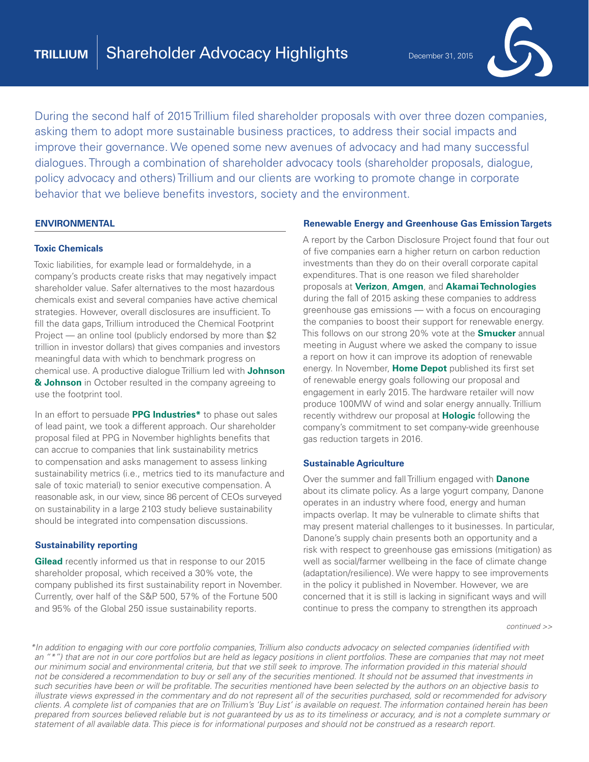

During the second half of 2015 Trillium filed shareholder proposals with over three dozen companies, asking them to adopt more sustainable business practices, to address their social impacts and improve their governance. We opened some new avenues of advocacy and had many successful dialogues. Through a combination of shareholder advocacy tools (shareholder proposals, dialogue, policy advocacy and others) Trillium and our clients are working to promote change in corporate behavior that we believe benefits investors, society and the environment.

#### **ENVIRONMENTAL**

#### **Toxic Chemicals**

Toxic liabilities, for example lead or formaldehyde, in a company's products create risks that may negatively impact shareholder value. Safer alternatives to the most hazardous chemicals exist and several companies have active chemical strategies. However, overall disclosures are insufficient. To fill the data gaps, Trillium introduced the Chemical Footprint Project — an online tool (publicly endorsed by more than \$2 trillion in investor dollars) that gives companies and investors meaningful data with which to benchmark progress on chemical use. A productive dialogue Trillium led with **Johnson & Johnson** in October resulted in the company agreeing to use the footprint tool.

In an effort to persuade **PPG Industries\*** to phase out sales of lead paint, we took a different approach. Our shareholder proposal filed at PPG in November highlights benefits that can accrue to companies that link sustainability metrics to compensation and asks management to assess linking sustainability metrics (i.e., metrics tied to its manufacture and sale of toxic material) to senior executive compensation. A reasonable ask, in our view, since 86 percent of CEOs surveyed on sustainability in a large 2103 study believe sustainability should be integrated into compensation discussions.

#### **Sustainability reporting**

**Gilead** recently informed us that in response to our 2015 shareholder proposal, which received a 30% vote, the company published its first sustainability report in November. Currently, over half of the S&P 500, 57% of the Fortune 500 and 95% of the Global 250 issue sustainability reports.

#### **Renewable Energy and Greenhouse Gas Emission Targets**

A report by the Carbon Disclosure Project found that four out of five companies earn a higher return on carbon reduction investments than they do on their overall corporate capital expenditures. That is one reason we filed shareholder proposals at **Verizon**, **Amgen**, and **Akamai Technologies** during the fall of 2015 asking these companies to address greenhouse gas emissions — with a focus on encouraging the companies to boost their support for renewable energy. This follows on our strong 20% vote at the **Smucker** annual meeting in August where we asked the company to issue a report on how it can improve its adoption of renewable energy. In November, **Home Depot** published its first set of renewable energy goals following our proposal and engagement in early 2015. The hardware retailer will now produce 100MW of wind and solar energy annually. Trillium recently withdrew our proposal at **Hologic** following the company's commitment to set company-wide greenhouse gas reduction targets in 2016.

#### **Sustainable Agriculture**

Over the summer and fall Trillium engaged with **Danone** about its climate policy. As a large yogurt company, Danone operates in an industry where food, energy and human impacts overlap. It may be vulnerable to climate shifts that may present material challenges to it businesses. In particular, Danone's supply chain presents both an opportunity and a risk with respect to greenhouse gas emissions (mitigation) as well as social/farmer wellbeing in the face of climate change (adaptation/resilience). We were happy to see improvements in the policy it published in November. However, we are concerned that it is still is lacking in significant ways and will continue to press the company to strengthen its approach

*continued >>*

*\*In addition to engaging with our core portfolio companies, Trillium also conducts advocacy on selected companies (identified with an "\*") that are not in our core portfolios but are held as legacy positions in client portfolios. These are companies that may not meet our minimum social and environmental criteria, but that we still seek to improve. The information provided in this material should not be considered a recommendation to buy or sell any of the securities mentioned. It should not be assumed that investments in such securities have been or will be profitable. The securities mentioned have been selected by the authors on an objective basis to illustrate views expressed in the commentary and do not represent all of the securities purchased, sold or recommended for advisory clients. A complete list of companies that are on Trillium's 'Buy List' is available on request. The information contained herein has been prepared from sources believed reliable but is not guaranteed by us as to its timeliness or accuracy, and is not a complete summary or statement of all available data. This piece is for informational purposes and should not be construed as a research report.*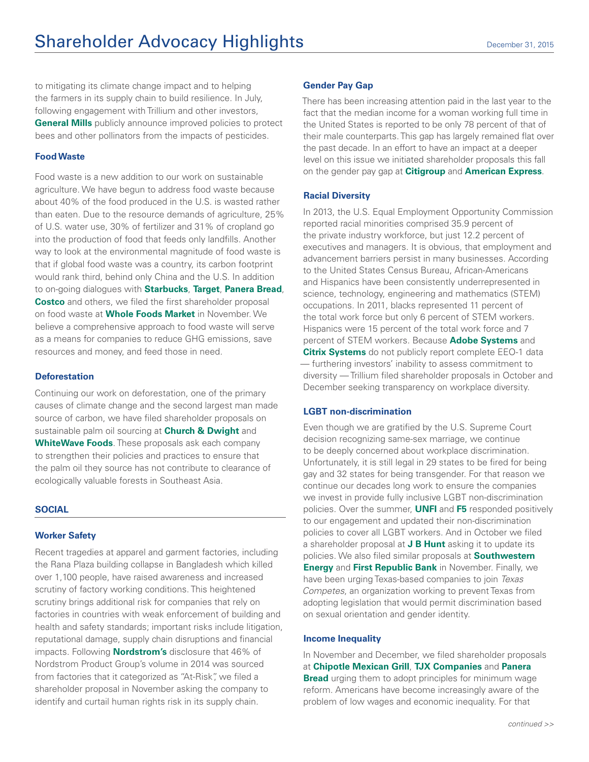to mitigating its climate change impact and to helping the farmers in its supply chain to build resilience. In July, following engagement with Trillium and other investors, **General Mills** publicly announce improved policies to protect bees and other pollinators from the impacts of pesticides.

## **Food Waste**

Food waste is a new addition to our work on sustainable agriculture. We have begun to address food waste because about 40% of the food produced in the U.S. is wasted rather than eaten. Due to the resource demands of agriculture, 25% of U.S. water use, 30% of fertilizer and 31% of cropland go into the production of food that feeds only landfills. Another way to look at the environmental magnitude of food waste is that if global food waste was a country, its carbon footprint would rank third, behind only China and the U.S. In addition to on-going dialogues with **Starbucks**, **Target**, **Panera Bread**, **Costco** and others, we filed the first shareholder proposal on food waste at **Whole Foods Market** in November. We believe a comprehensive approach to food waste will serve as a means for companies to reduce GHG emissions, save resources and money, and feed those in need.

### **Deforestation**

Continuing our work on deforestation, one of the primary causes of climate change and the second largest man made source of carbon, we have filed shareholder proposals on sustainable palm oil sourcing at **Church & Dwight** and **WhiteWave Foods**. These proposals ask each company to strengthen their policies and practices to ensure that the palm oil they source has not contribute to clearance of ecologically valuable forests in Southeast Asia.

#### **SOCIAL**

#### **Worker Safety**

Recent tragedies at apparel and garment factories, including the Rana Plaza building collapse in Bangladesh which killed over 1,100 people, have raised awareness and increased scrutiny of factory working conditions. This heightened scrutiny brings additional risk for companies that rely on factories in countries with weak enforcement of building and health and safety standards; important risks include litigation, reputational damage, supply chain disruptions and financial impacts. Following **Nordstrom's** disclosure that 46% of Nordstrom Product Group's volume in 2014 was sourced from factories that it categorized as "At-Risk", we filed a shareholder proposal in November asking the company to identify and curtail human rights risk in its supply chain.

#### **Gender Pay Gap**

There has been increasing attention paid in the last year to the fact that the median income for a woman working full time in the United States is reported to be only 78 percent of that of their male counterparts. This gap has largely remained flat over the past decade. In an effort to have an impact at a deeper level on this issue we initiated shareholder proposals this fall on the gender pay gap at **Citigroup** and **American Express**.

### **Racial Diversity**

In 2013, the U.S. Equal Employment Opportunity Commission reported racial minorities comprised 35.9 percent of the private industry workforce, but just 12.2 percent of executives and managers. It is obvious, that employment and advancement barriers persist in many businesses. According to the United States Census Bureau, African-Americans and Hispanics have been consistently underrepresented in science, technology, engineering and mathematics (STEM) occupations. In 2011, blacks represented 11 percent of the total work force but only 6 percent of STEM workers. Hispanics were 15 percent of the total work force and 7 percent of STEM workers. Because **Adobe Systems** and **Citrix Systems** do not publicly report complete EEO-1 data — furthering investors' inability to assess commitment to diversity — Trillium filed shareholder proposals in October and December seeking transparency on workplace diversity.

#### **LGBT non-discrimination**

Even though we are gratified by the U.S. Supreme Court decision recognizing same-sex marriage, we continue to be deeply concerned about workplace discrimination. Unfortunately, it is still legal in 29 states to be fired for being gay and 32 states for being transgender. For that reason we continue our decades long work to ensure the companies we invest in provide fully inclusive LGBT non-discrimination policies. Over the summer, **UNFI** and **F5** responded positively to our engagement and updated their non-discrimination policies to cover all LGBT workers. And in October we filed a shareholder proposal at **J B Hunt** asking it to update its policies. We also filed similar proposals at **Southwestern Energy** and **First Republic Bank** in November. Finally, we have been urging Texas-based companies to join *Texas Competes*, an organization working to prevent Texas from adopting legislation that would permit discrimination based on sexual orientation and gender identity.

#### **Income Inequality**

In November and December, we filed shareholder proposals at **Chipotle Mexican Grill**, **TJX Companies** and **Panera Bread** urging them to adopt principles for minimum wage reform. Americans have become increasingly aware of the problem of low wages and economic inequality. For that